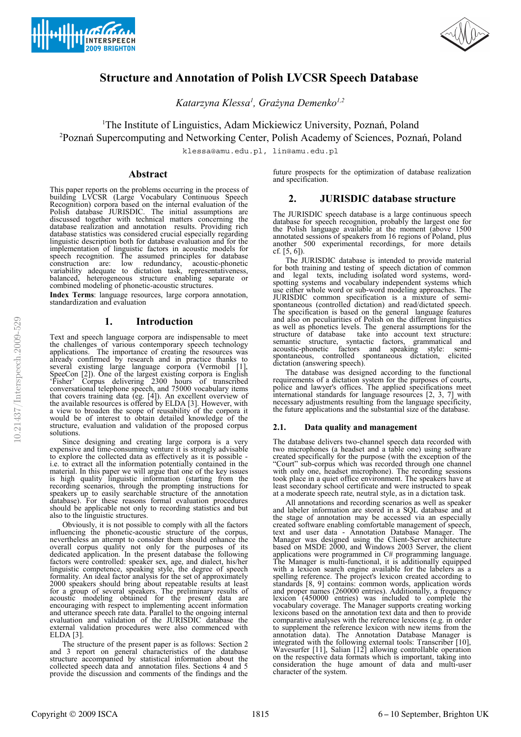



# **Structure and Annotation of Polish LVCSR Speech Database**

*Katarzyna Klessa<sup>1</sup> , Grażyna Demenko1,2*

<sup>1</sup>The Institute of Linguistics, Adam Mickiewicz University, Poznań, Poland <sup>2</sup>Poznań Supercomputing and Networking Center, Polish Academy of Sciences, Poznań, Poland

klessa@amu.edu.pl, lin@amu.edu.pl

# **Abstract**

This paper reports on the problems occurring in the process of building LVCSR (Large Vocabulary Continuous Speech Recognition) corpora based on the internal evaluation of the Polish database JURISDIC. The initial assumptions are discussed together with technical matters concerning the database realization and annotation results. Providing rich database statistics was considered crucial especially regarding linguistic description both for database evaluation and for the implementation of linguistic factors in acoustic models for speech recognition. The assumed principles for database construction are: low redundancy, acoustic-phonetic variability adequate to dictation task, representativeness, balanced, heterogeneous structure enabling separate or combined modeling of phonetic-acoustic structures.

**Index Terms**: language resources, large corpora annotation, standardization and evaluation

# **1. Introduction**

Text and speech language corpora are indispensable to meet the challenges of various contemporary speech technology applications. The importance of creating the resources was already confirmed by research and in practice thanks to several existing large language corpora (Vermobil [1], SpeeCon [2]). One of the largest existing corpora is English 'Fisher' Corpus delivering 2300 hours of transcribed conversational telephone speech, and 75000 vocabulary items that covers training data (eg. [4]). An excellent overview of the available resources is offered by ELDA [3]. However, with a view to broaden the scope of reusability of the corpora it would be of interest to obtain detailed knowledge of the structure, evaluation and validation of the proposed corpus solutions.

Since designing and creating large corpora is a very expensive and time-consuming venture it is strongly advisable to explore the collected data as effectively as it is possible i.e. to extract all the information potentially contained in the material. In this paper we will argue that one of the key issues is high quality linguistic information (starting from the recording scenarios, through the prompting instructions for speakers up to easily searchable structure of the annotation database). For these reasons formal evaluation procedures should be applicable not only to recording statistics and but also to the linguistic structures.

Obviously, it is not possible to comply with all the factors influencing the phonetic-acoustic structure of the corpus, nevertheless an attempt to consider them should enhance the overall corpus quality not only for the purposes of its dedicated application. In the present database the following factors were controlled: speaker sex, age, and dialect, his/her linguistic competence, speaking style, the degree of speech formality. An ideal factor analysis for the set of approximately 2000 speakers should bring about repeatable results at least for a group of several speakers. The preliminary results of acoustic modeling obtained for the present data are encouraging with respect to implementing accent information and utterance speech rate data. Parallel to the ongoing internal evaluation and validation of the JURISDIC database the external validation procedures were also commenced with ELDA [3].

The structure of the present paper is as follows: Section 2 and 3 report on general characteristics of the database structure accompanied by statistical information about the collected speech data and annotation files. Sections 4 and 5 provide the discussion and comments of the findings and the future prospects for the optimization of database realization and specification.

# **2. JURISDIC database structure**

The JURISDIC speech database is a large continuous speech database for speech recognition, probably the largest one for the Polish language available at the moment (above 1500 annotated sessions of speakers from 16 regions of Poland, plus another 500 experimental recordings, for more details cf. [5, 6]).

The JURISDIC database is intended to provide material for both training and testing of speech dictation of common and legal texts, including isolated word systems, wordspotting systems and vocabulary independent systems which use either whole word or sub-word modeling approaches. The JURISDIC common specification is a mixture of semispontaneous (controlled dictation) and read/dictated speech. The specification is based on the general language features and also on peculiarities of Polish on the different linguistics as well as phonetics levels. The general assumptions for the structure of database take into account text structure: semantic structure, syntactic factors, grammatical and acoustic-phonetic factors and speaking style: semispontaneous, controlled spontaneous dictation, elicited dictation (answering speech).

The database was designed according to the functional requirements of a dictation system for the purposes of courts, police and lawyer's offices. The applied specifications meet international standards for language resources  $[2, 3, 7]$  with necessary adjustments resulting from the language specificity, the future applications and the substantial size of the database.

## **2.1. Data quality and management**

The database delivers two-channel speech data recorded with two microphones (a headset and a table one) using software created specifically for the purpose (with the exception of the "Court" sub-corpus which was recorded through one channel with only one, headset microphone). The recording sessions took place in a quiet office environment. The speakers have at least secondary school certificate and were instructed to speak at a moderate speech rate, neutral style, as in a dictation task.

All annotations and recording scenarios as well as speaker and labeler information are stored in a SQL database and at the stage of annotation may be accessed via an especially created software enabling comfortable management of speech, text and user data - Annotation Database Manager. The Manager was designed using the Client-Server architecture based on MSDE 2000, and Windows 2003 Server, the client applications were programmed in C# programming language. The Manager is multi-functional, it is additionally equipped with a lexicon search engine available for the labelers as a spelling reference. The project's lexicon created according to standards [8, 9] contains: common words, application words and proper names (260000 entries). Additionally, a frequency lexicon (450000 entries) was included to complete the vocabulary coverage. The Manager supports creating working lexicons based on the annotation text data and then to provide comparative analyses with the reference lexicons (e.g. in order to supplement the reference lexicon with new items from the annotation data). The Annotation Database Manager is integrated with the following external tools: Transcriber [10], Wavesurfer [11], Salian [12] allowing controllable operation on the respective data formats which is important, taking into consideration the huge amount of data and multi-user character of the system.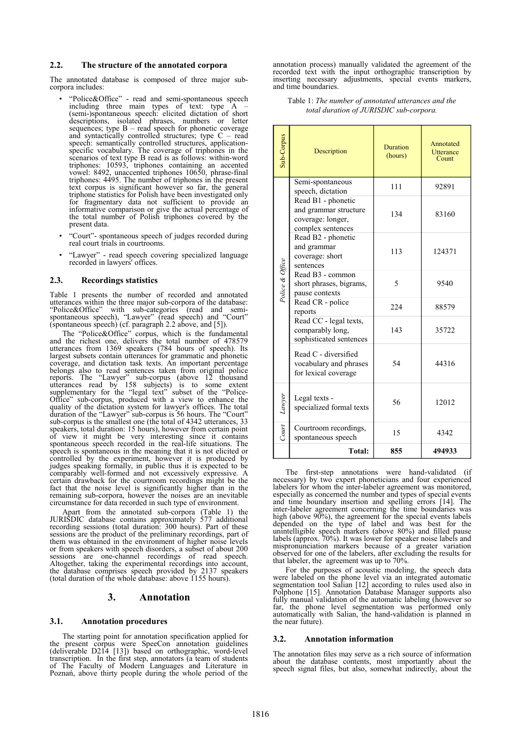### **2.2. The structure of the annotated corpora**

The annotated database is composed of three major subcorpora includes:

- "Police&Office" read and semi-spontaneous speech including three main types of text: type A – (semi-)spontaneous speech: elicited dictation of short descriptions, isolated phrases, numbers or letter sequences; type  $B - read$  speech for phonetic coverage and syntactically controlled structures; type C – read speech: semantically controlled structures, applicationspecific vocabulary. The coverage of triphones in the scenarios of text type B read is as follows: within-word triphones: 10593, triphones containing an accented vowel: 8492, unaccented triphones 10650, phrase-final triphones: 4495. The number of triphones in the present text corpus is significant however so far, the general triphone statistics for Polish have been investigated only for fragmentary data not sufficient to provide an informative comparison or give the actual percentage of the total number of Polish triphones covered by the present data.
- "Court"- spontaneous speech of judges recorded during real court trials in courtrooms.
- "Lawyer" read speech covering specialized language recorded in lawyers' offices.

### **2.3. Recordings statistics**

Table 1 presents the number of recorded and annotated utterances within the three major sub-corpora of the database: "Police&Office" with sub-categories (read and semispontaneous speech), "Lawyer" (read speech) and "Court" (spontaneous speech) (cf. paragraph 2.2 above, and [5]).

The "Police&Office" corpus, which is the fundamental and the richest one, delivers the total number of 478579 utterances from 1369 speakers (784 hours of speech). Its largest subsets contain utterances for grammatic and phonetic coverage, and dictation task texts. An important percentage belongs also to read sentences taken from original police reports. The "Lawyer" sub-corpus (above 12 thousand utterances read by 158 subjects) is to some extent supplementary for the "legal text" subset of the "Police-Office" sub-corpus, produced with a view to enhance the quality of the dictation system for lawyer's offices. The total duration of the "Lawyer" sub-corpus is 56 hours. The "Court" sub-corpus is the smallest one (the total of 4342 utterances, 33 speakers, total duration: 15 hours), however from certain point of view it might be very interesting since it contains spontaneous speech recorded in the real-life situations. The speech is spontaneous in the meaning that it is not elicited or controlled by the experiment, however it is produced by judges speaking formally, in public thus it is expected to be comparably well-formed and not excessively expressive. A certain drawback for the courtroom recordings might be the fact that the noise level is significantly higher than in the remaining sub-corpora, however the noises are an inevitable circumstance for data recorded in such type of environment.

Apart from the annotated sub-corpora (Table 1) the JURISDIC database contains approximately 577 additional recording sessions (total duration: 300 hours). Part of these sessions are the product of the preliminary recordings, part of them was obtained in the environment of higher noise levels or from speakers with speech disorders, a subset of about 200 sessions are one-channel recordings of read speech. Altogether, taking the experimental recordings into account, the database comprises speech provided by 2137 speakers (total duration of the whole database: above 1155 hours).

# **3. Annotation**

#### **3.1. Annotation procedures**

The starting point for annotation specification applied for the present corpus were SpeeCon annotation guidelines (deliverable D214 [13]) based on orthographic, word-level transcription. In the first step, annotators (a team of students of The Faculty of Modern Languages and Literature in Poznań, above thirty people during the whole period of the

annotation process) manually validated the agreement of the recorded text with the input orthographic transcription by inserting necessary adjustments, special events markers, and time boundaries.

Table 1: *The number of annotated utterances and the total duration of JURISDIC sub-corpora.*

| Sub-Corpus      | Description                                                                           | <b>Duration</b><br>(hours) | Annotated<br><b>Utterance</b><br>Count |
|-----------------|---------------------------------------------------------------------------------------|----------------------------|----------------------------------------|
|                 | Semi-spontaneous<br>speech, dictation                                                 | 111                        | 92891                                  |
|                 | Read B1 - phonetic<br>and grammar structure<br>coverage: longer,<br>complex sentences | 134                        | 83160                                  |
|                 | Read B2 - phonetic<br>and grammar<br>coverage: short<br>sentences                     | 113                        | 124371                                 |
| Police & Office | Read B <sub>3</sub> - common<br>short phrases, bigrams,<br>pause contexts             | 5                          | 9540                                   |
|                 | Read CR - police<br>reports                                                           | 224                        | 88579                                  |
|                 | Read CC - legal texts,<br>comparably long,<br>sophisticated sentences                 | 143                        | 35722                                  |
|                 | Read C - diversified<br>vocabulary and phrases<br>for lexical coverage                | 54                         | 44316                                  |
| Lawyer          | Legal texts -<br>specialized formal texts                                             | 56                         | 12012                                  |
| Court           | Courtroom recordings,<br>spontaneous speech                                           | 15                         | 4342                                   |
|                 | Total:                                                                                | 855                        | 494933                                 |

The first-step annotations were hand-validated (if necessary) by two expert phoneticians and four experienced labelers for whom the inter-labeler agreement was monitored, especially as concerned the number and types of special events and time boundary insertion and spelling errors [14]. The inter-labeler agreement concerning the time boundaries was high (above 90%), the agreement for the special events labels depended on the type of label and was best for the unintelligible speech markers (above 80%) and filled pause labels (approx. 70%). It was lower for speaker noise labels and mispronunciation markers because of a greater variation observed for one of the labelers, after excluding the results for that labeler, the agreement was up to 70%.

For the purposes of acoustic modeling, the speech data were labeled on the phone level via an integrated automatic segmentation tool Salian [12] according to rules used also in Polphone [15]. Annotation Database Manager supports also fully manual validation of the automatic labeling (however so far, the phone level segmentation was performed only automatically with Salian, the hand-validation is planned in the near future).

#### **3.2. Annotation information**

The annotation files may serve as a rich source of information about the database contents, most importantly about the speech signal files, but also, somewhat indirectly, about the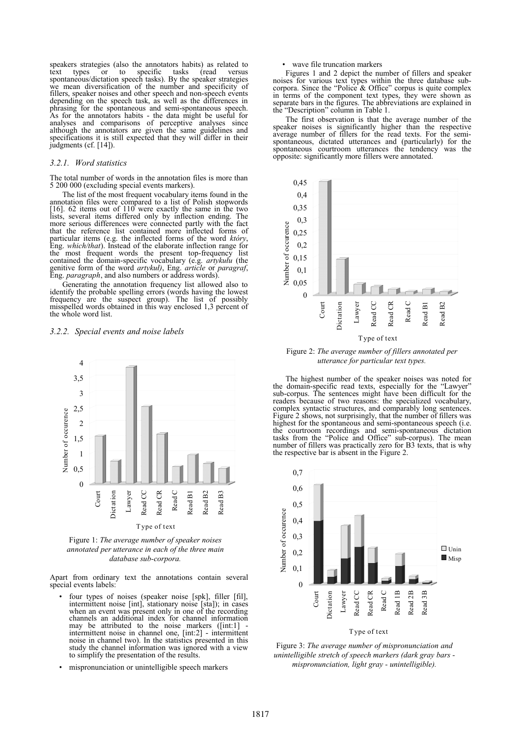speakers strategies (also the annotators habits) as related to text types or to specific tasks (read versus spontaneous/dictation speech tasks). By the speaker strategies we mean diversification of the number and specificity of fillers, speaker noises and other speech and non-speech events depending on the speech task, as well as the differences in phrasing for the spontaneous and semi-spontaneous speech. As for the annotators habits - the data might be useful for analyses and comparisons of perceptive analyses since although the annotators are given the same guidelines and specifications it is still expected that they will differ in their judgments (cf. [14]).

#### *3.2.1. Word statistics*

The total number of words in the annotation files is more than 5 200 000 (excluding special events markers).

The list of the most frequent vocabulary items found in the annotation files were compared to a list of Polish stopwords [16]. 62 items out of 110 were exactly the same in the two lists, several items differed only by inflection ending. The more serious differences were connected partly with the fact that the reference list contained more inflected forms of particular items (e.g. the inflected forms of the word *który*, Eng. *which/that*). Instead of the elaborate inflection range for the most frequent words the present top-frequency list contained the domain-specific vocabulary (e.g. *artykułu* (the genitive form of the word *artykuł)*, Eng. *article* or *paragraf*, Eng. *paragraph*, and also numbers or address words).

Generating the annotation frequency list allowed also to identify the probable spelling errors (words having the lowest frequency are the suspect group). The list of possibly misspelled words obtained in this way enclosed 1,3 percent of the whole word list.

#### *3.2.2. Special events and noise labels*



Figure 1: *The average number of speaker noises annotated per utterance in each of the three main database sub-corpora.*

Apart from ordinary text the annotations contain several special events labels:

- four types of noises (speaker noise [spk], filler [fil], intermittent noise [int], stationary noise [sta]); in cases when an event was present only in one of the recording channels an additional index for channel information may be attributed to the noise markers ([int:1] intermittent noise in channel one, [int:2] - intermittent noise in channel two). In the statistics presented in this study the channel information was ignored with a view to simplify the presentation of the results.
- mispronunciation or unintelligible speech markers

#### wave file truncation markers

Figures 1 and 2 depict the number of fillers and speaker noises for various text types within the three database subcorpora. Since the "Police & Office" corpus is quite complex in terms of the component text types, they were shown as separate bars in the figures. The abbreviations are explained in the "Description" column in Table 1.

The first observation is that the average number of the speaker noises is significantly higher than the respective average number of fillers for the read texts. For the semispontaneous, dictated utterances and (particularly) for the spontaneous courtroom utterances the tendency was the spontaneous courtroom utterances the tendency opposite: significantly more fillers were annotated.



Figure 2: *The average number of fillers annotated per*

The highest number of the speaker noises was noted for the domain-specific read texts, especially for the "Lawyer" sub-corpus. The sentences might have been difficult for the readers because of two reasons: the specialized vocabulary, complex syntactic structures, and comparably long sentences. Figure 2 shows, not surprisingly, that the number of fillers was highest for the spontaneous and semi-spontaneous speech (i.e. the courtroom recordings and semi-spontaneous dictation tasks from the "Police and Office" sub-corpus). The mean number of fillers was practically zero for B3 texts, that is why the respective bar is absent in the Figure 2.



Figure 3: *The average number of mispronunciation and unintelligible stretch of speech markers (dark gray bars mispronunciation, light gray - unintelligible).*